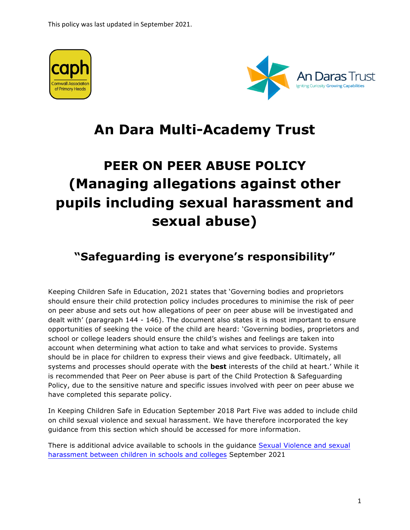



## **An Dara Multi-Academy Trust**

# **PEER ON PEER ABUSE POLICY (Managing allegations against other pupils including sexual harassment and sexual abuse)**

### **"Safeguarding is everyone's responsibility"**

Keeping Children Safe in Education, 2021 states that 'Governing bodies and proprietors should ensure their child protection policy includes procedures to minimise the risk of peer on peer abuse and sets out how allegations of peer on peer abuse will be investigated and dealt with' (paragraph 144 - 146). The document also states it is most important to ensure opportunities of seeking the voice of the child are heard: 'Governing bodies, proprietors and school or college leaders should ensure the child's wishes and feelings are taken into account when determining what action to take and what services to provide. Systems should be in place for children to express their views and give feedback. Ultimately, all systems and processes should operate with the **best** interests of the child at heart.' While it is recommended that Peer on Peer abuse is part of the Child Protection & Safeguarding Policy, due to the sensitive nature and specific issues involved with peer on peer abuse we have completed this separate policy.

In Keeping Children Safe in Education September 2018 Part Five was added to include child on child sexual violence and sexual harassment. We have therefore incorporated the key guidance from this section which should be accessed for more information.

There is additional advice available to schools in the guidance Sexual Violence and sexual harassment between children in schools and colleges September 2021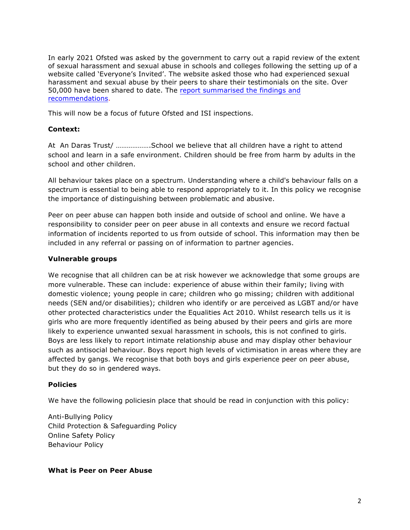In early 2021 Ofsted was asked by the government to carry out a rapid review of the extent of sexual harassment and sexual abuse in schools and colleges following the setting up of a website called 'Everyone's Invited'. The website asked those who had experienced sexual harassment and sexual abuse by their peers to share their testimonials on the site. Over 50,000 have been shared to date. The report summarised the findings and recommendations.

This will now be a focus of future Ofsted and ISI inspections.

#### **Context:**

At An Daras Trust/ ……………….School we believe that all children have a right to attend school and learn in a safe environment. Children should be free from harm by adults in the school and other children.

All behaviour takes place on a spectrum. Understanding where a child's behaviour falls on a spectrum is essential to being able to respond appropriately to it. In this policy we recognise the importance of distinguishing between problematic and abusive.

Peer on peer abuse can happen both inside and outside of school and online. We have a responsibility to consider peer on peer abuse in all contexts and ensure we record factual information of incidents reported to us from outside of school. This information may then be included in any referral or passing on of information to partner agencies.

#### **Vulnerable groups**

We recognise that all children can be at risk however we acknowledge that some groups are more vulnerable. These can include: experience of abuse within their family; living with domestic violence; young people in care; children who go missing; children with additional needs (SEN and/or disabilities); children who identify or are perceived as LGBT and/or have other protected characteristics under the Equalities Act 2010. Whilst research tells us it is girls who are more frequently identified as being abused by their peers and girls are more likely to experience unwanted sexual harassment in schools, this is not confined to girls. Boys are less likely to report intimate relationship abuse and may display other behaviour such as antisocial behaviour. Boys report high levels of victimisation in areas where they are affected by gangs. We recognise that both boys and girls experience peer on peer abuse, but they do so in gendered ways.

#### **Policies**

We have the following policiesin place that should be read in conjunction with this policy:

Anti-Bullying Policy Child Protection & Safeguarding Policy Online Safety Policy Behaviour Policy

#### **What is Peer on Peer Abuse**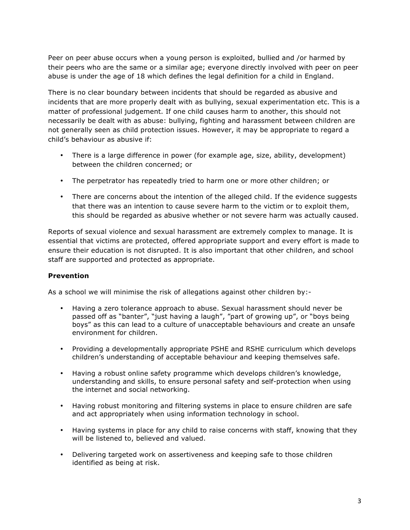Peer on peer abuse occurs when a young person is exploited, bullied and /or harmed by their peers who are the same or a similar age; everyone directly involved with peer on peer abuse is under the age of 18 which defines the legal definition for a child in England.

There is no clear boundary between incidents that should be regarded as abusive and incidents that are more properly dealt with as bullying, sexual experimentation etc. This is a matter of professional judgement. If one child causes harm to another, this should not necessarily be dealt with as abuse: bullying, fighting and harassment between children are not generally seen as child protection issues. However, it may be appropriate to regard a child's behaviour as abusive if:

- There is a large difference in power (for example age, size, ability, development) between the children concerned; or
- The perpetrator has repeatedly tried to harm one or more other children; or
- There are concerns about the intention of the alleged child. If the evidence suggests that there was an intention to cause severe harm to the victim or to exploit them, this should be regarded as abusive whether or not severe harm was actually caused.

Reports of sexual violence and sexual harassment are extremely complex to manage. It is essential that victims are protected, offered appropriate support and every effort is made to ensure their education is not disrupted. It is also important that other children, and school staff are supported and protected as appropriate.

#### **Prevention**

As a school we will minimise the risk of allegations against other children by:-

- Having a zero tolerance approach to abuse. Sexual harassment should never be passed off as "banter", "just having a laugh", "part of growing up", or "boys being boys" as this can lead to a culture of unacceptable behaviours and create an unsafe environment for children.
- Providing a developmentally appropriate PSHE and RSHE curriculum which develops children's understanding of acceptable behaviour and keeping themselves safe.
- Having a robust online safety programme which develops children's knowledge, understanding and skills, to ensure personal safety and self-protection when using the internet and social networking.
- Having robust monitoring and filtering systems in place to ensure children are safe and act appropriately when using information technology in school.
- Having systems in place for any child to raise concerns with staff, knowing that they will be listened to, believed and valued.
- Delivering targeted work on assertiveness and keeping safe to those children identified as being at risk.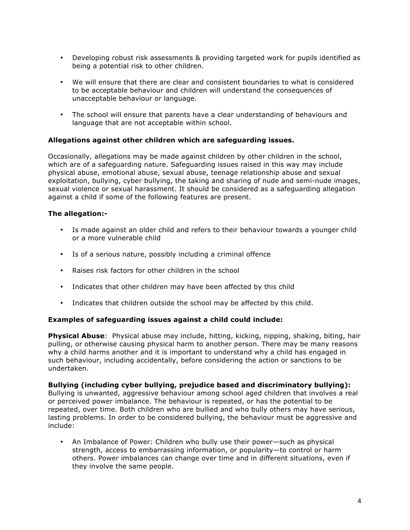- Developing robust risk assessments & providing targeted work for pupils identified as being a potential risk to other children.
- We will ensure that there are clear and consistent boundaries to what is considered to be acceptable behaviour and children will understand the consequences of unacceptable behaviour or language.
- The school will ensure that parents have a clear understanding of behaviours and language that are not acceptable within school.

#### **Allegations against other children which are safeguarding issues.**

Occasionally, allegations may be made against children by other children in the school, which are of a safeguarding nature. Safeguarding issues raised in this way may include physical abuse, emotional abuse, sexual abuse, teenage relationship abuse and sexual exploitation, bullying, cyber bullying, the taking and sharing of nude and semi-nude images, sexual violence or sexual harassment. It should be considered as a safeguarding allegation against a child if some of the following features are present.

#### **The allegation:-**

- Is made against an older child and refers to their behaviour towards a younger child or a more vulnerable child
- Is of a serious nature, possibly including a criminal offence
- Raises risk factors for other children in the school
- Indicates that other children may have been affected by this child
- Indicates that children outside the school may be affected by this child.

#### **Examples of safeguarding issues against a child could include:**

**Physical Abuse**: Physical abuse may include, hitting, kicking, nipping, shaking, biting, hair pulling, or otherwise causing physical harm to another person. There may be many reasons why a child harms another and it is important to understand why a child has engaged in such behaviour, including accidentally, before considering the action or sanctions to be undertaken.

**Bullying (including cyber bullying, prejudice based and discriminatory bullying):** Bullying is unwanted, aggressive behaviour among school aged children that involves a real or perceived power imbalance. The behaviour is repeated, or has the potential to be repeated, over time. Both children who are bullied and who bully others may have serious, lasting problems. In order to be considered bullying, the behaviour must be aggressive and include:

• An Imbalance of Power: Children who bully use their power—such as physical strength, access to embarrassing information, or popularity—to control or harm others. Power imbalances can change over time and in different situations, even if they involve the same people.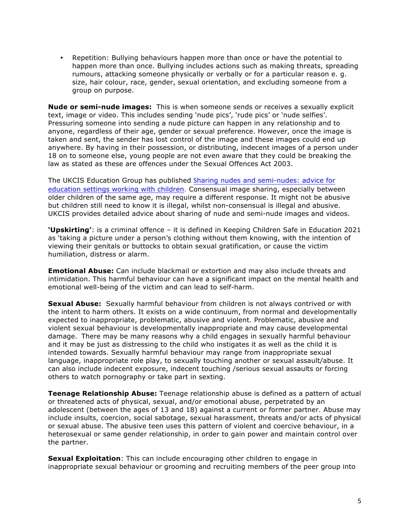• Repetition: Bullying behaviours happen more than once or have the potential to happen more than once. Bullying includes actions such as making threats, spreading rumours, attacking someone physically or verbally or for a particular reason e. g. size, hair colour, race, gender, sexual orientation, and excluding someone from a group on purpose.

**Nude or semi-nude images:** This is when someone sends or receives a sexually explicit text, image or video. This includes sending 'nude pics', 'rude pics' or 'nude selfies'. Pressuring someone into sending a nude picture can happen in any relationship and to anyone, regardless of their age, gender or sexual preference. However, once the image is taken and sent, the sender has lost control of the image and these images could end up anywhere. By having in their possession, or distributing, indecent images of a person under 18 on to someone else, young people are not even aware that they could be breaking the law as stated as these are offences under the Sexual Offences Act 2003.

The UKCIS Education Group has published Sharing nudes and semi-nudes: advice for education settings working with children. Consensual image sharing, especially between older children of the same age, may require a different response. It might not be abusive but children still need to know it is illegal, whilst non-consensual is illegal and abusive. UKCIS provides detailed advice about sharing of nude and semi-nude images and videos.

**'Upskirting'**: is a criminal offence – it is defined in Keeping Children Safe in Education 2021 as 'taking a picture under a person's clothing without them knowing, with the intention of viewing their genitals or buttocks to obtain sexual gratification, or cause the victim humiliation, distress or alarm.

**Emotional Abuse:** Can include blackmail or extortion and may also include threats and intimidation. This harmful behaviour can have a significant impact on the mental health and emotional well-being of the victim and can lead to self-harm.

**Sexual Abuse:** Sexually harmful behaviour from children is not always contrived or with the intent to harm others. It exists on a wide continuum, from normal and developmentally expected to inappropriate, problematic, abusive and violent. Problematic, abusive and violent sexual behaviour is developmentally inappropriate and may cause developmental damage. There may be many reasons why a child engages in sexually harmful behaviour and it may be just as distressing to the child who instigates it as well as the child it is intended towards. Sexually harmful behaviour may range from inappropriate sexual language, inappropriate role play, to sexually touching another or sexual assault/abuse. It can also include indecent exposure, indecent touching /serious sexual assaults or forcing others to watch pornography or take part in sexting.

**Teenage Relationship Abuse:** Teenage relationship abuse is defined as a pattern of actual or threatened acts of physical, sexual, and/or emotional abuse, perpetrated by an adolescent (between the ages of 13 and 18) against a current or former partner. Abuse may include insults, coercion, social sabotage, sexual harassment, threats and/or acts of physical or sexual abuse. The abusive teen uses this pattern of violent and coercive behaviour, in a heterosexual or same gender relationship, in order to gain power and maintain control over the partner.

**Sexual Exploitation**: This can include encouraging other children to engage in inappropriate sexual behaviour or grooming and recruiting members of the peer group into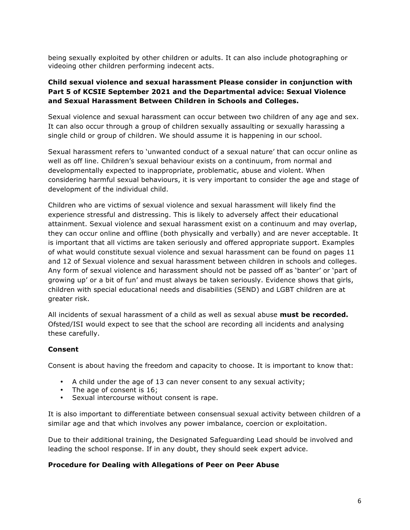being sexually exploited by other children or adults. It can also include photographing or videoing other children performing indecent acts.

#### **Child sexual violence and sexual harassment Please consider in conjunction with Part 5 of KCSIE September 2021 and the Departmental advice: Sexual Violence and Sexual Harassment Between Children in Schools and Colleges.**

Sexual violence and sexual harassment can occur between two children of any age and sex. It can also occur through a group of children sexually assaulting or sexually harassing a single child or group of children. We should assume it is happening in our school.

Sexual harassment refers to 'unwanted conduct of a sexual nature' that can occur online as well as off line. Children's sexual behaviour exists on a continuum, from normal and developmentally expected to inappropriate, problematic, abuse and violent. When considering harmful sexual behaviours, it is very important to consider the age and stage of development of the individual child.

Children who are victims of sexual violence and sexual harassment will likely find the experience stressful and distressing. This is likely to adversely affect their educational attainment. Sexual violence and sexual harassment exist on a continuum and may overlap, they can occur online and offline (both physically and verbally) and are never acceptable. It is important that all victims are taken seriously and offered appropriate support. Examples of what would constitute sexual violence and sexual harassment can be found on pages 11 and 12 of Sexual violence and sexual harassment between children in schools and colleges. Any form of sexual violence and harassment should not be passed off as 'banter' or 'part of growing up' or a bit of fun' and must always be taken seriously. Evidence shows that girls, children with special educational needs and disabilities (SEND) and LGBT children are at greater risk.

All incidents of sexual harassment of a child as well as sexual abuse **must be recorded.** Ofsted/ISI would expect to see that the school are recording all incidents and analysing these carefully.

#### **Consent**

Consent is about having the freedom and capacity to choose. It is important to know that:

- A child under the age of 13 can never consent to any sexual activity;
- The age of consent is 16;
- Sexual intercourse without consent is rape.

It is also important to differentiate between consensual sexual activity between children of a similar age and that which involves any power imbalance, coercion or exploitation.

Due to their additional training, the Designated Safeguarding Lead should be involved and leading the school response. If in any doubt, they should seek expert advice.

#### **Procedure for Dealing with Allegations of Peer on Peer Abuse**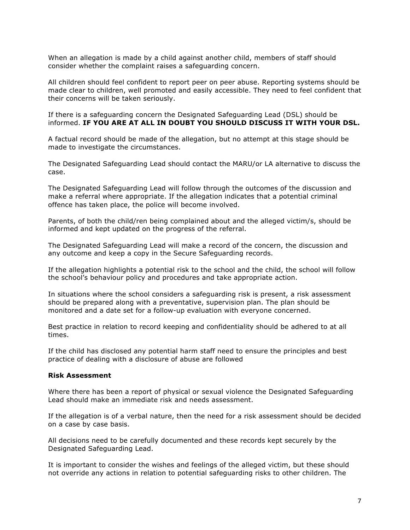When an allegation is made by a child against another child, members of staff should consider whether the complaint raises a safeguarding concern.

All children should feel confident to report peer on peer abuse. Reporting systems should be made clear to children, well promoted and easily accessible. They need to feel confident that their concerns will be taken seriously.

If there is a safeguarding concern the Designated Safeguarding Lead (DSL) should be informed. **IF YOU ARE AT ALL IN DOUBT YOU SHOULD DISCUSS IT WITH YOUR DSL.**

A factual record should be made of the allegation, but no attempt at this stage should be made to investigate the circumstances.

The Designated Safeguarding Lead should contact the MARU/or LA alternative to discuss the case.

The Designated Safeguarding Lead will follow through the outcomes of the discussion and make a referral where appropriate. If the allegation indicates that a potential criminal offence has taken place, the police will become involved.

Parents, of both the child/ren being complained about and the alleged victim/s, should be informed and kept updated on the progress of the referral.

The Designated Safeguarding Lead will make a record of the concern, the discussion and any outcome and keep a copy in the Secure Safeguarding records.

If the allegation highlights a potential risk to the school and the child, the school will follow the school's behaviour policy and procedures and take appropriate action.

In situations where the school considers a safeguarding risk is present, a risk assessment should be prepared along with a preventative, supervision plan. The plan should be monitored and a date set for a follow-up evaluation with everyone concerned.

Best practice in relation to record keeping and confidentiality should be adhered to at all times.

If the child has disclosed any potential harm staff need to ensure the principles and best practice of dealing with a disclosure of abuse are followed

#### **Risk Assessment**

Where there has been a report of physical or sexual violence the Designated Safeguarding Lead should make an immediate risk and needs assessment.

If the allegation is of a verbal nature, then the need for a risk assessment should be decided on a case by case basis.

All decisions need to be carefully documented and these records kept securely by the Designated Safeguarding Lead.

It is important to consider the wishes and feelings of the alleged victim, but these should not override any actions in relation to potential safeguarding risks to other children. The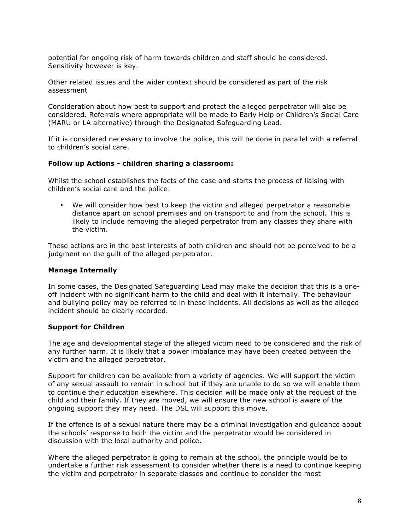potential for ongoing risk of harm towards children and staff should be considered. Sensitivity however is key.

Other related issues and the wider context should be considered as part of the risk assessment

Consideration about how best to support and protect the alleged perpetrator will also be considered. Referrals where appropriate will be made to Early Help or Children's Social Care (MARU or LA alternative) through the Designated Safeguarding Lead.

If it is considered necessary to involve the police, this will be done in parallel with a referral to children's social care.

#### **Follow up Actions - children sharing a classroom:**

Whilst the school establishes the facts of the case and starts the process of liaising with children's social care and the police:

• We will consider how best to keep the victim and alleged perpetrator a reasonable distance apart on school premises and on transport to and from the school. This is likely to include removing the alleged perpetrator from any classes they share with the victim.

These actions are in the best interests of both children and should not be perceived to be a judgment on the guilt of the alleged perpetrator.

#### **Manage Internally**

In some cases, the Designated Safeguarding Lead may make the decision that this is a oneoff incident with no significant harm to the child and deal with it internally. The behaviour and bullying policy may be referred to in these incidents. All decisions as well as the alleged incident should be clearly recorded.

#### **Support for Children**

The age and developmental stage of the alleged victim need to be considered and the risk of any further harm. It is likely that a power imbalance may have been created between the victim and the alleged perpetrator.

Support for children can be available from a variety of agencies. We will support the victim of any sexual assault to remain in school but if they are unable to do so we will enable them to continue their education elsewhere. This decision will be made only at the request of the child and their family. If they are moved, we will ensure the new school is aware of the ongoing support they may need. The DSL will support this move.

If the offence is of a sexual nature there may be a criminal investigation and guidance about the schools' response to both the victim and the perpetrator would be considered in discussion with the local authority and police.

Where the alleged perpetrator is going to remain at the school, the principle would be to undertake a further risk assessment to consider whether there is a need to continue keeping the victim and perpetrator in separate classes and continue to consider the most